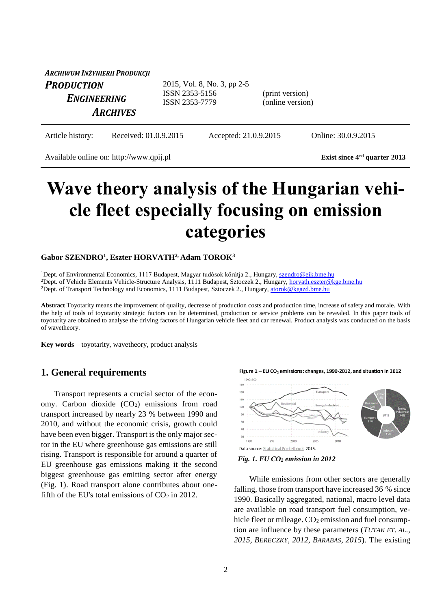| ARCHIWUM INŻYNIERII PRODUKCJI    |                                                                 |                                     |
|----------------------------------|-----------------------------------------------------------------|-------------------------------------|
| <b>PRODUCTION</b><br>ENGINEERING | 2015, Vol. 8, No. 3, pp 2-5<br>ISSN 2353-5156<br>ISSN 2353-7779 | (print version)<br>(online version) |
| <b>ARCHIVES</b>                  |                                                                 |                                     |

Article history: Received: 01.0.9.2015 Accepted: 21.0.9.2015 Online: 30.0.9.2015

Available online on: http://www.qpij.pl **Exist since 4rd quarter 2013**

# **Wave theory analysis of the Hungarian vehicle fleet especially focusing on emission categories**

### **Gabor SZENDRO<sup>1</sup> , Eszter HORVATH2, Adam TOROK<sup>3</sup>**

<sup>1</sup>Dept. of Environmental Economics, 1117 Budapest, Magyar tudósok körútja 2., Hungary, [szendro@eik.bme.hu](mailto:szendro@eik.bme.hu) <sup>2</sup>Dept. of Vehicle Elements Vehicle-Structure Analysis, 1111 Budapest, Sztoczek 2., Hungary, [horvath.eszter@kge.bme.hu](mailto:horvath.eszter@kge.bme.hu) <sup>2</sup>Dept. of Transport Technology and Economics, 1111 Budapest, Sztoczek 2., Hungary, [atorok@kgazd.bme.hu](mailto:atorok@kgazd.bme.hu)

**Abstract** Toyotarity means the improvement of quality, decrease of production costs and production time, increase of safety and morale. With the help of tools of toyotarity strategic factors can be determined, production or service problems can be revealed. In this paper tools of toyotarity are obtained to analyse the driving factors of Hungarian vehicle fleet and car renewal. Product analysis was conducted on the basis of wavetheory.

**Key words** – toyotarity, wavetheory, product analysis

# **1. General requirements**

Transport represents a crucial sector of the economy. Carbon dioxide  $(CO<sub>2</sub>)$  emissions from road transport increased by nearly 23 % between 1990 and 2010, and without the economic crisis, growth could have been even bigger. Transport is the only major sector in the EU where greenhouse gas emissions are still rising. Transport is responsible for around a quarter of EU greenhouse gas emissions making it the second biggest greenhouse gas emitting sector after energy (Fig. 1). Road transport alone contributes about onefifth of the EU's total emissions of  $CO<sub>2</sub>$  in 2012.







While emissions from other sectors are generally falling, those from transport have increased 36 % since 1990. Basically aggregated, national, macro level data are available on road transport fuel consumption, vehicle fleet or mileage.  $CO<sub>2</sub>$  emission and fuel consumption are influence by these parameters (*TUTAK ET. AL., 2015, BERECZKY, 2012, BARABAS, 2015*). The existing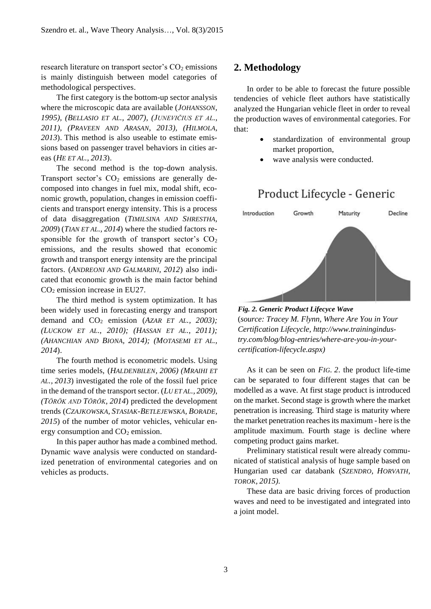research literature on transport sector's  $CO<sub>2</sub>$  emissions is mainly distinguish between model categories of methodological perspectives.

The first category is the bottom-up sector analysis where the microscopic data are available (*JOHANSSON, 1995), (BELLASIO ET AL., 2007), (JUNEVIČIUS ET AL., 2011), (PRAVEEN AND ARASAN, 2013), (HILMOLA, 2013*). This method is also useable to estimate emissions based on passenger travel behaviors in cities areas (*HE ET AL., 2013*).

The second method is the top-down analysis. Transport sector's  $CO<sub>2</sub>$  emissions are generally decomposed into changes in fuel mix, modal shift, economic growth, population, changes in emission coefficients and transport energy intensity. This is a process of data disaggregation (*TIMILSINA AND SHRESTHA, 2009*) (*TIAN ET AL., 2014*) where the studied factors responsible for the growth of transport sector's  $CO<sub>2</sub>$ emissions, and the results showed that economic growth and transport energy intensity are the principal factors. (*ANDREONI AND GALMARINI, 2012*) also indicated that economic growth is the main factor behind  $CO<sub>2</sub>$  emission increase in EU27.

The third method is system optimization. It has been widely used in forecasting energy and transport demand and CO<sup>2</sup> emission (*AZAR ET AL., 2003); (LUCKOW ET AL., 2010); (HASSAN ET AL., 2011); (AHANCHIAN AND BIONA, 2014); (MOTASEMI ET AL., 2014*).

The fourth method is econometric models. Using time series models, (*HALDENBILEN, 2006) (MRAIHI ET AL., 2013*) investigated the role of the fossil fuel price in the demand of the transport sector. (*LU ET AL., 2009), (TÖRÖK AND TÖRÖK, 2014*) predicted the development trends (*CZAJKOWSKA, STASIAK-BETLEJEWSKA, BORADE, 2015*) of the number of motor vehicles, vehicular energy consumption and  $CO<sub>2</sub>$  emission.

In this paper author has made a combined method. Dynamic wave analysis were conducted on standardized penetration of environmental categories and on vehicles as products.

# **2. Methodology**

In order to be able to forecast the future possible tendencies of vehicle fleet authors have statistically analyzed the Hungarian vehicle fleet in order to reveal the production waves of environmental categories. For that:

- standardization of environmental group market proportion,
- wave analysis were conducted.

# Product Lifecycle - Generic



*Fig. 2. Generic Product Lifecyce Wave* (*source: Tracey M. Flynn, Where Are You in Your Certification Lifecycle, http://www.trainingindustry.com/blog/blog-entries/where-are-you-in-yourcertification-lifecycle.aspx)*

As it can be seen on *FIG. 2*. the product life-time can be separated to four different stages that can be modelled as a wave. At first stage product is introduced on the market. Second stage is growth where the market penetration is increasing. Third stage is maturity where the market penetration reaches its maximum - here is the amplitude maximum. Fourth stage is decline where competing product gains market.

Preliminary statistical result were already communicated of statistical analysis of huge sample based on Hungarian used car databank (*SZENDRO, HORVATH, TOROK, 2015).*

These data are basic driving forces of production waves and need to be investigated and integrated into a joint model.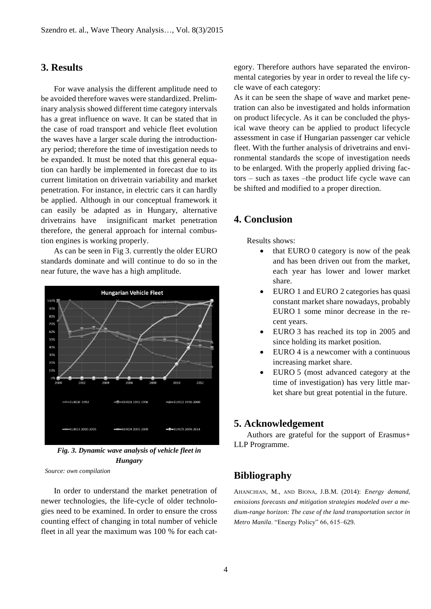# **3. Results**

For wave analysis the different amplitude need to be avoided therefore waves were standardized. Preliminary analysis showed different time category intervals has a great influence on wave. It can be stated that in the case of road transport and vehicle fleet evolution the waves have a larger scale during the introductionary period; therefore the time of investigation needs to be expanded. It must be noted that this general equation can hardly be implemented in forecast due to its current limitation on drivetrain variability and market penetration. For instance, in electric cars it can hardly be applied. Although in our conceptual framework it can easily be adapted as in Hungary, alternative drivetrains have insignificant market penetration therefore, the general approach for internal combustion engines is working properly.

As can be seen in Fig 3. currently the older EURO standards dominate and will continue to do so in the near future, the wave has a high amplitude.



*Fig. 3. Dynamic wave analysis of vehicle fleet in Hungary*

*Source: own compilation*

In order to understand the market penetration of newer technologies, the life-cycle of older technologies need to be examined. In order to ensure the cross counting effect of changing in total number of vehicle fleet in all year the maximum was 100 % for each category. Therefore authors have separated the environmental categories by year in order to reveal the life cycle wave of each category:

As it can be seen the shape of wave and market penetration can also be investigated and holds information on product lifecycle. As it can be concluded the physical wave theory can be applied to product lifecycle assessment in case if Hungarian passenger car vehicle fleet. With the further analysis of drivetrains and environmental standards the scope of investigation needs to be enlarged. With the properly applied driving factors – such as taxes –the product life cycle wave can be shifted and modified to a proper direction.

# **4. Conclusion**

Results shows:

- that EURO 0 category is now of the peak and has been driven out from the market, each year has lower and lower market share.
- EURO 1 and EURO 2 categories has quasi constant market share nowadays, probably EURO 1 some minor decrease in the recent years.
- EURO 3 has reached its top in 2005 and since holding its market position.
- EURO 4 is a newcomer with a continuous increasing market share.
- EURO 5 (most advanced category at the time of investigation) has very little market share but great potential in the future.

## **5. Acknowledgement**

Authors are grateful for the support of Erasmus+ LLP Programme.

# **Bibliography**

AHANCHIAN, M., AND BIONA, J.B.M. (2014): *Energy demand, emissions forecasts and mitigation strategies modeled over a medium-range horizon: The case of the land transportation sector in Metro Manila*. "Energy Policy" 66, 615–629.